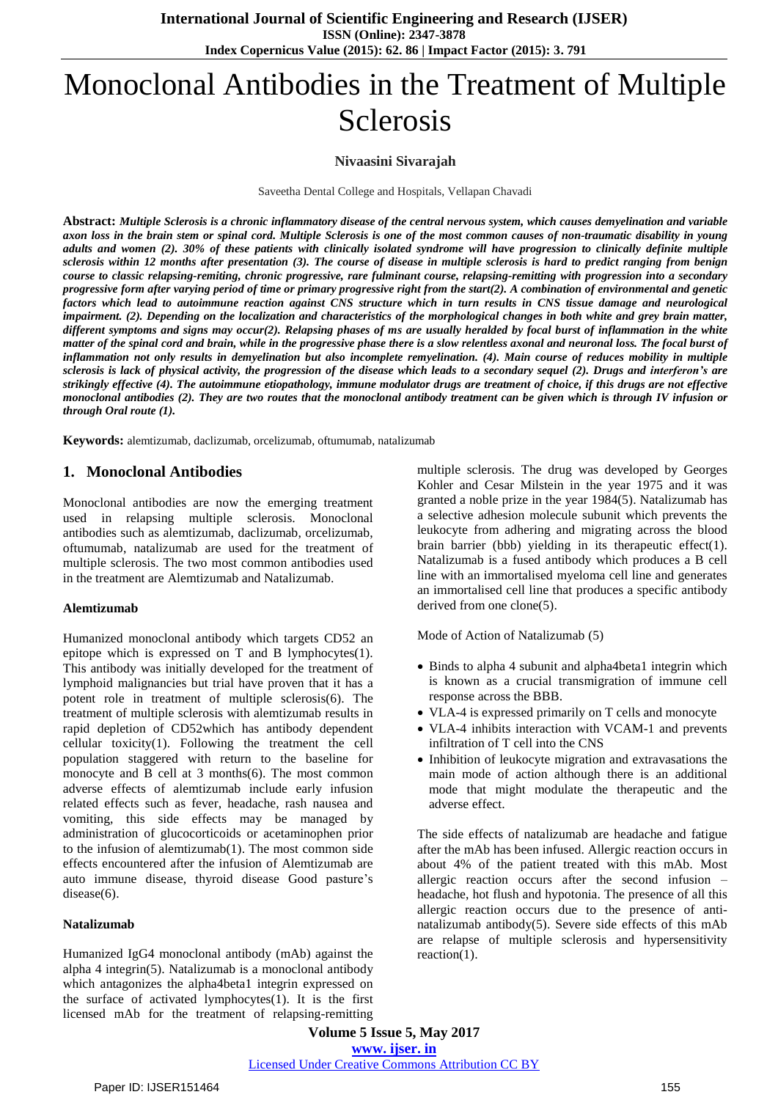# Monoclonal Antibodies in the Treatment of Multiple Sclerosis

## **Nivaasini Sivarajah**

Saveetha Dental College and Hospitals, Vellapan Chavadi

Abstract: Multiple Sclerosis is a chronic inflammatory disease of the central nervous system, which causes demyelination and variable axon loss in the brain stem or spinal cord. Multiple Sclerosis is one of the most common causes of non-traumatic disability in young adults and women (2). 30% of these patients with clinically isolated syndrome will have progression to clinically definite multiple sclerosis within 12 months after presentation (3). The course of disease in multiple sclerosis is hard to predict ranging from benign *course to classic relapsing-remiting, chronic progressive, rare fulminant course, relapsing-remitting with progression into a secondary* progressive form after varying period of time or primary progressive right from the start(2). A combination of environmental and genetic factors which lead to autoimmune reaction against CNS structure which in turn results in CNS tissue damage and neurological impairment. (2). Depending on the localization and characteristics of the morphological changes in both white and grey brain matter, different symptoms and signs may occur(2). Relapsing phases of ms are usually heralded by focal burst of inflammation in the white matter of the spinal cord and brain, while in the progressive phase there is a slow relentless axonal and neuronal loss. The focal burst of inflammation not only results in demyelination but also incomplete remyelination. (4). Main course of reduces mobility in multiple sclerosis is lack of physical activity, the progression of the disease which leads to a secondary sequel (2). Drugs and interferon's are strikingly effective (4). The autoimmune etiopathology, immune modulator drugs are treatment of choice, if this drugs are not effective monoclonal antibodies (2). They are two routes that the monoclonal antibody treatment can be given which is through IV infusion or *through Oral route (1).* 

**Keywords:** alemtizumab, daclizumab, orcelizumab, oftumumab, natalizumab

## **1. Monoclonal Antibodies**

Monoclonal antibodies are now the emerging treatment used in relapsing multiple sclerosis. Monoclonal antibodies such as alemtizumab, daclizumab, orcelizumab, oftumumab, natalizumab are used for the treatment of multiple sclerosis. The two most common antibodies used in the treatment are Alemtizumab and Natalizumab.

#### **Alemtizumab**

Humanized monoclonal antibody which targets CD52 an epitope which is expressed on T and B lymphocytes(1). This antibody was initially developed for the treatment of lymphoid malignancies but trial have proven that it has a potent role in treatment of multiple sclerosis(6). The treatment of multiple sclerosis with alemtizumab results in rapid depletion of CD52which has antibody dependent cellular toxicity(1). Following the treatment the cell population staggered with return to the baseline for monocyte and B cell at 3 months(6). The most common adverse effects of alemtizumab include early infusion related effects such as fever, headache, rash nausea and vomiting, this side effects may be managed by administration of glucocorticoids or acetaminophen prior to the infusion of alemtizumab(1). The most common side effects encountered after the infusion of Alemtizumab are auto immune disease, thyroid disease Good pasture's disease(6).

#### **Natalizumab**

Humanized IgG4 monoclonal antibody (mAb) against the alpha 4 integrin(5). Natalizumab is a monoclonal antibody which antagonizes the alpha4beta1 integrin expressed on the surface of activated lymphocytes(1). It is the first licensed mAb for the treatment of relapsing-remitting multiple sclerosis. The drug was developed by Georges Kohler and Cesar Milstein in the year 1975 and it was granted a noble prize in the year 1984(5). Natalizumab has a selective adhesion molecule subunit which prevents the leukocyte from adhering and migrating across the blood brain barrier (bbb) yielding in its therapeutic effect(1). Natalizumab is a fused antibody which produces a B cell line with an immortalised myeloma cell line and generates an immortalised cell line that produces a specific antibody derived from one clone(5).

Mode of Action of Natalizumab (5)

- Binds to alpha 4 subunit and alpha4beta1 integrin which is known as a crucial transmigration of immune cell response across the BBB.
- VLA-4 is expressed primarily on T cells and monocyte
- VLA-4 inhibits interaction with VCAM-1 and prevents infiltration of T cell into the CNS
- Inhibition of leukocyte migration and extravasations the main mode of action although there is an additional mode that might modulate the therapeutic and the adverse effect.

The side effects of natalizumab are headache and fatigue after the mAb has been infused. Allergic reaction occurs in about 4% of the patient treated with this mAb. Most allergic reaction occurs after the second infusion – headache, hot flush and hypotonia. The presence of all this allergic reaction occurs due to the presence of antinatalizumab antibody(5). Severe side effects of this mAb are relapse of multiple sclerosis and hypersensitivity reaction(1).